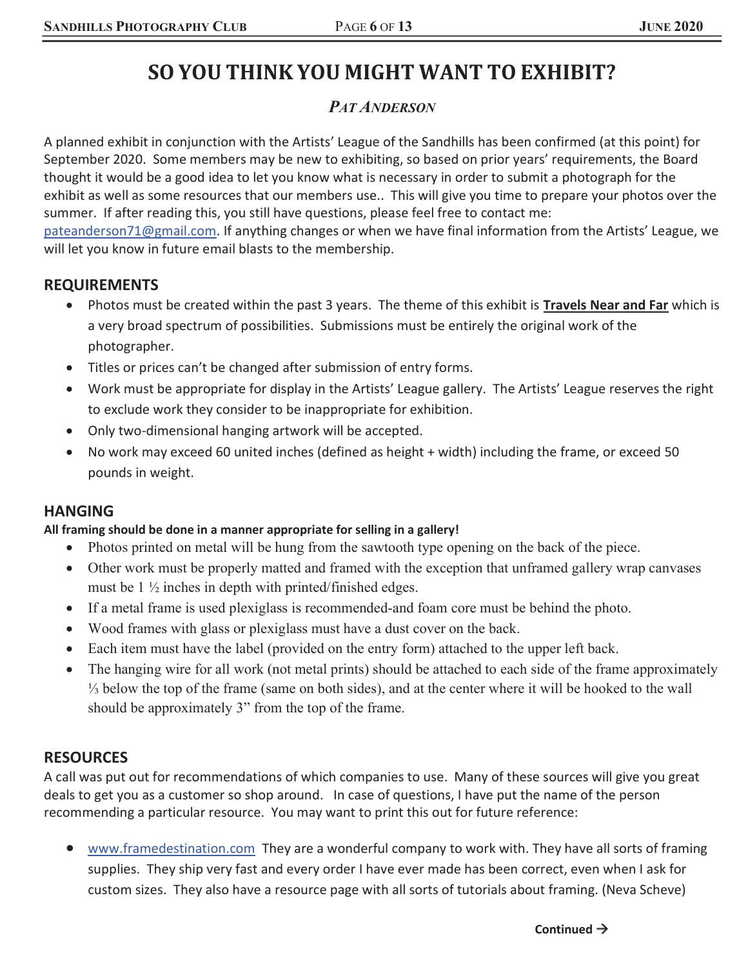# SO YOU THINK YOU MIGHT WANT TO EXHIBIT?

## *PAT ANDERSON*

A planned exhibit in conjunction with the Artists' League of the Sandhills has been confirmed (at this point) for September 2020. Some members may be new to exhibiting, so based on prior years' requirements, the Board thought it would be a good idea to let you know what is necessary in order to submit a photograph for the exhibit as well as some resources that our members use.. This will give you time to prepare your photos over the summer. If after reading this, you still have questions, please feel free to contact me: pateanderson71@gmail.com. If anything changes or when we have final information from the Artists' League, we

will let you know in future email blasts to the membership.

### REQUIREMENTS

- Photos must be created within the past 3 years. The theme of this exhibit is Travels Near and Far which is a very broad spectrum of possibilities. Submissions must be entirely the original work of the photographer.
- Titles or prices can't be changed after submission of entry forms.
- Work must be appropriate for display in the Artists' League gallery. The Artists' League reserves the right to exclude work they consider to be inappropriate for exhibition.
- Only two-dimensional hanging artwork will be accepted.
- No work may exceed 60 united inches (defined as height + width) including the frame, or exceed 50 pounds in weight.

### HANGING

#### All framing should be done in a manner appropriate for selling in a gallery!

- Photos printed on metal will be hung from the sawtooth type opening on the back of the piece.
- Other work must be properly matted and framed with the exception that unframed gallery wrap canvases must be 1 ½ inches in depth with printed/finished edges.
- If a metal frame is used plexiglass is recommended-and foam core must be behind the photo.
- Wood frames with glass or plexiglass must have a dust cover on the back.
- Each item must have the label (provided on the entry form) attached to the upper left back.
- The hanging wire for all work (not metal prints) should be attached to each side of the frame approximately ⅓ below the top of the frame (same on both sides), and at the center where it will be hooked to the wall should be approximately 3" from the top of the frame.

### **RESOURCES**

A call was put out for recommendations of which companies to use. Many of these sources will give you great deals to get you as a customer so shop around. In case of questions, I have put the name of the person recommending a particular resource. You may want to print this out for future reference:

www.framedestination.com They are a wonderful company to work with. They have all sorts of framing supplies. They ship very fast and every order I have ever made has been correct, even when I ask for custom sizes. They also have a resource page with all sorts of tutorials about framing. (Neva Scheve)